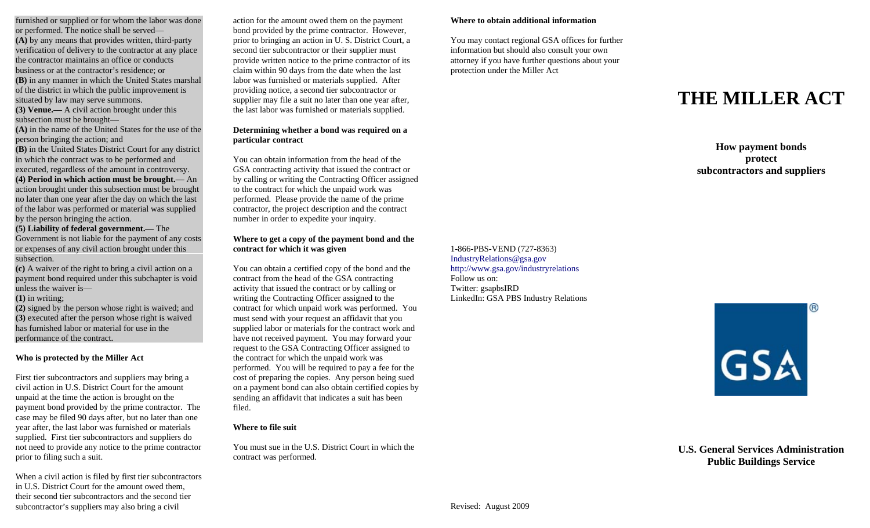furnished or supplied or for whom the labor was done or performed. The notice shall be served— **(A)** by any means that provides written, third-party verification of delivery to the contractor at any place the contractor maintains an office or conducts business or at the contractor's residence; or **(B)** in any manner in which the United States marshal of the district in which the public improvement is situated by law may serve summons. **(3) Venue.—** A civil action brought under this

subsection must be brought—

**(A)** in the name of the United States for the use of the person bringing the action; and

**(B)** in the United States District Court for any district in which the contract was to be performed and executed, regardless of the amount in controversy.

**(4) Period in which action must be brought.—** An action brought under this subsection must be brought no later than one year after the day on which the last of the labor was performed or material was supplied by the person bringing the action.

#### **(5) Liability of federal government.—** The

Government is not liable for the payment of any costs or expenses of any civil action brought under this subsection.

**(c)** A waiver of the right to bring a civil action on a payment bond required under this subchapter is void unless the waiver is—

**(1)** in writing;

**(2)** signed by the person whose right is waived; and **(3)** executed after the person whose right is waived has furnished labor or material for use in the performance of the contract.

**Who is protected by the Miller Act** 

First tier subcontractors and suppliers may bring a civil action in U.S. District Court for the amount unpaid at the time the action is brought on the payment bond provided by the prime contractor. The case may be filed 90 days after, but no later than one year after, the last labor was furnished or materials supplied. First tier subcontractors and suppliers do not need to provide any notice to the prime contractor prior to filing such a suit.

When a civil action is filed by first tier subcontractors in U.S. District Court for the amount owed them, their second tier subcontractors and the second tier subcontractor's suppliers may also bring a civil

action for the amount owed them on the payment **Where to obtain additional information**  bond provided by the prime contractor. However, prior to bringing an action in U. S. District Court, a You may contact regional GSA offices for further second tier subcontractor or their supplier must information but should also consult your own provide written notice to the prime contractor of its attorney if you have further questions about your claim within 90 days from the date when the last protection under the Miller Act labor was furnished or materials supplied. After providing notice, a second tier subcontractor or supplier may file a suit no later than one year after, the last labor was furnished or materials supplied.

#### **Determining whether a bond was required on a particular contract**

You can obtain information from the head of the GSA contracting activity that issued the contract or by calling or writing the Contracting Officer assigned to the contract for which the unpaid work was performed. Please provide the name of the prime contractor, the project description and the contract number in order to expedite your inquiry.

#### **Where to get a copy of the payment bond and the contract for which it was given** 1-866-PBS-VEND (727-8363)

You can obtain a certified copy of the bond and the http://www.gsa.gov/industryrelations contract from the head of the GSA contracting Follow us on:<br>
activity that issued the contract or by calling or Twitter: gsapbsIRD activity that issued the contract or by calling or<br>  $\frac{1}{2}$  Twitter: gsapbsIRD<br>  $\frac{1}{2}$  UnkedIn: GSA PBS Industry Relations writing the Contracting Officer assigned to the contract for which unpaid work was performed. You must send with your request an affidavit that you supplied labor or materials for the contract work and have not received payment. You may forward your request to the GSA Contracting Officer assigned to the contract for which the unpaid work was performed. You will be required to pay a fee for the cost of preparing the copies. Any person being sued on a payment bond can also obtain certified copies by sending an affidavit that indicates a suit has been filed.

#### **Where to file suit**

You must sue in the U.S. District Court in which the contract was performed.

## **THE MILLER ACT**

**How payment bonds protect subcontractors and suppliers** 

# IndustryRelations@gsa.gov

GSA

**U.S. General Services Administration Public Buildings Service**